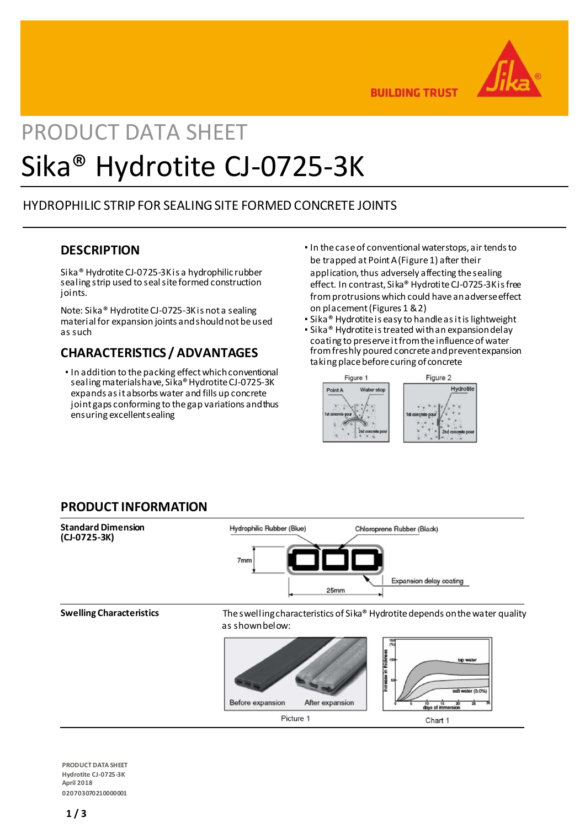

**BUILDING TRUST** 

# PRODUCT DATA SHEET Sika® Hydrotite CJ-0725-3K

# HYDROPHILIC STRIP FOR SEALING SITE FORMED CONCRETE JOINTS

# **DESCRIPTION**

Sika® HydrotiteCJ-0725-3Kis a hydrophilic rubber sealing strip used to seal site formed construction joints.

Note: Sika® Hydrotite CJ-0725-3Kis not a sealing material for expansion joints and should not be used as such

# **CHARACTERISTICS / ADVANTAGES**

- In addition to the packing effect which conventional sealing materials have, Sika® Hydrotite CJ-0725-3K expands as it absorbs water and fills up concrete joint gaps conforming to the gap variations andthus ensuring excellentsealing
- In the case of conventional waterstops, air tends to be trapped at Point A (Figure 1) after their application, thus adversely affecting the sealing effect. In contrast, Sika® Hydrotite CJ-0725-3Kis free from protrusions which could have an adverseeffect on placement (Figures 1 &2)
- Sika<sup>®</sup> Hydrotite is easy to handle as it is lightweight
- Sika® Hydrotite is treated with an expansion delay coating to preserve it from the influence of water from freshly poured concrete and preventexpansion taking place before curing of concrete



# **PRODUCT INFORMATION**



**PRODUCT DATA SHEET Hydrotite CJ-0725-3K April 2018 020703070210000001**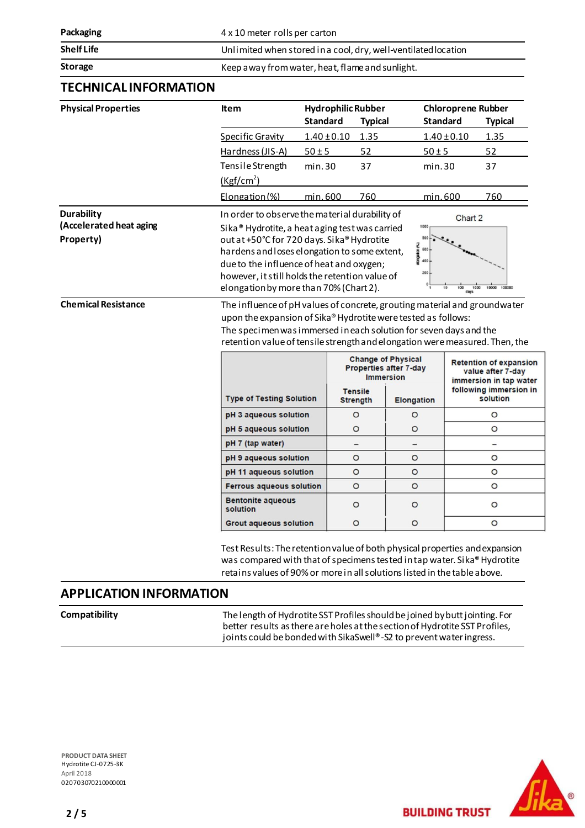**Packaging Packaging 1 Packaging 1 Packaging 1 Packaging 1 Packaging 1 Packaging 1 Packaging 1 Packaging 1 Packaging 1 Packaging 1 Packaging 1 Packaging 1 Packaging 1 P** 

**Shelf Life** Unlimited when stored in a cool, dry, well-ventilated location

**Storage** Keep away from water, heat, flame and sunlight.

# **TECHNICAL INFORMATION**

| <b>Physical Properties</b>                                                              | ltem                                                                                                                                                                                                                                                                                                                                                                                                                                                                                                                                                                                                                                                                                                                                                          | <b>Standard</b> | <b>Hydrophilic Rubber</b><br><b>Typical</b> |                                                            | <b>Chloroprene Rubber</b><br><b>Standard</b><br><b>Typical</b> |                                                              |  |
|-----------------------------------------------------------------------------------------|---------------------------------------------------------------------------------------------------------------------------------------------------------------------------------------------------------------------------------------------------------------------------------------------------------------------------------------------------------------------------------------------------------------------------------------------------------------------------------------------------------------------------------------------------------------------------------------------------------------------------------------------------------------------------------------------------------------------------------------------------------------|-----------------|---------------------------------------------|------------------------------------------------------------|----------------------------------------------------------------|--------------------------------------------------------------|--|
|                                                                                         | <b>Specific Gravity</b>                                                                                                                                                                                                                                                                                                                                                                                                                                                                                                                                                                                                                                                                                                                                       | $1.40 \pm 0.10$ | 1.35                                        |                                                            | $1.40 \pm 0.10$                                                | 1.35                                                         |  |
|                                                                                         | Hardness (JIS-A)                                                                                                                                                                                                                                                                                                                                                                                                                                                                                                                                                                                                                                                                                                                                              | $50 \pm 5$      | 52                                          | $50 \pm 5$                                                 |                                                                | 52                                                           |  |
|                                                                                         | Tensile Strength                                                                                                                                                                                                                                                                                                                                                                                                                                                                                                                                                                                                                                                                                                                                              | min.30          | 37                                          | min.30                                                     |                                                                | 37                                                           |  |
|                                                                                         | (Kgf/cm <sup>2</sup> )                                                                                                                                                                                                                                                                                                                                                                                                                                                                                                                                                                                                                                                                                                                                        |                 |                                             |                                                            |                                                                |                                                              |  |
|                                                                                         | Elongation (%)                                                                                                                                                                                                                                                                                                                                                                                                                                                                                                                                                                                                                                                                                                                                                | 760<br>min.600  |                                             | min. 600                                                   |                                                                | 760                                                          |  |
| <b>Durability</b><br>(Accelerated heat aging<br>Property)<br><b>Chemical Resistance</b> | In order to observe the material durability of<br>Chart 2<br>1000<br>Sika <sup>®</sup> Hydrotite, a heat aging test was carried<br>out at +50°C for 720 days. Sika® Hydrotite<br>500<br>kooption (%)<br>600<br>hardens and loses elongation to some extent,<br>400<br>due to the influence of heat and oxygen;<br>200<br>however, it still holds the retention value of<br>elongation by more than 70% (Chart 2).<br>100000<br>10000<br>100<br>1000<br>days<br>The influence of pH values of concrete, grouting material and groundwater<br>upon the expansion of Sika® Hydrotite were tested as follows:<br>The specimen was immersed in each solution for seven days and the<br>retention value of tensile strength and elongation were measured. Then, the |                 |                                             |                                                            |                                                                |                                                              |  |
|                                                                                         |                                                                                                                                                                                                                                                                                                                                                                                                                                                                                                                                                                                                                                                                                                                                                               |                 |                                             |                                                            |                                                                |                                                              |  |
|                                                                                         |                                                                                                                                                                                                                                                                                                                                                                                                                                                                                                                                                                                                                                                                                                                                                               |                 | <b>Immersion</b>                            | <b>Change of Physical</b><br><b>Properties after 7-day</b> |                                                                | <b>Retention of expansion</b><br>value after 7-day           |  |
|                                                                                         | <b>Type of Testing Solution</b>                                                                                                                                                                                                                                                                                                                                                                                                                                                                                                                                                                                                                                                                                                                               |                 | <b>Tensile</b><br><b>Strength</b>           | <b>Elongation</b>                                          |                                                                | immersion in tap water<br>following immersion in<br>solution |  |
|                                                                                         | pH 3 aqueous solution                                                                                                                                                                                                                                                                                                                                                                                                                                                                                                                                                                                                                                                                                                                                         |                 | $\circ$                                     | $\circ$                                                    |                                                                | $\circ$                                                      |  |
|                                                                                         | pH 5 aqueous solution                                                                                                                                                                                                                                                                                                                                                                                                                                                                                                                                                                                                                                                                                                                                         |                 | $\circ$                                     | $\circ$                                                    |                                                                | $\circ$                                                      |  |
|                                                                                         | pH 7 (tap water)                                                                                                                                                                                                                                                                                                                                                                                                                                                                                                                                                                                                                                                                                                                                              |                 |                                             |                                                            |                                                                | $\overline{\phantom{0}}$                                     |  |
|                                                                                         | pH 9 aqueous solution                                                                                                                                                                                                                                                                                                                                                                                                                                                                                                                                                                                                                                                                                                                                         |                 | $\circ$                                     | O                                                          |                                                                | $\circ$                                                      |  |
|                                                                                         | pH 11 aqueous solution                                                                                                                                                                                                                                                                                                                                                                                                                                                                                                                                                                                                                                                                                                                                        |                 | $\circ$                                     | $\circ$                                                    |                                                                | $\circ$                                                      |  |
|                                                                                         | <b>Ferrous aqueous solution</b>                                                                                                                                                                                                                                                                                                                                                                                                                                                                                                                                                                                                                                                                                                                               |                 | $\circ$                                     | $\circ$                                                    |                                                                | $\circ$                                                      |  |
|                                                                                         | <b>Bentonite aqueous</b><br>solution                                                                                                                                                                                                                                                                                                                                                                                                                                                                                                                                                                                                                                                                                                                          |                 | $\circ$                                     | $\circ$                                                    |                                                                | $\circ$                                                      |  |

Test Results: The retention value of both physical properties and expansion was compared with that of specimens tested in tap water. Sika® Hydrotite retains values of 90% or more in all solutions listed in the table above.

# **APPLICATION INFORMATION**

Compatibility Thelength of Hydrotite SST Profiles should be joined by butt jointing. For better results as there are holes at the section of Hydrotite SST Profiles, joints could be bonded with SikaSwell®-S2 to prevent water ingress.

**PRODUCT DATA SHEET** Hydrotite CJ-0725-3K April 2018 020703070210000001



**BUILDING TRUST**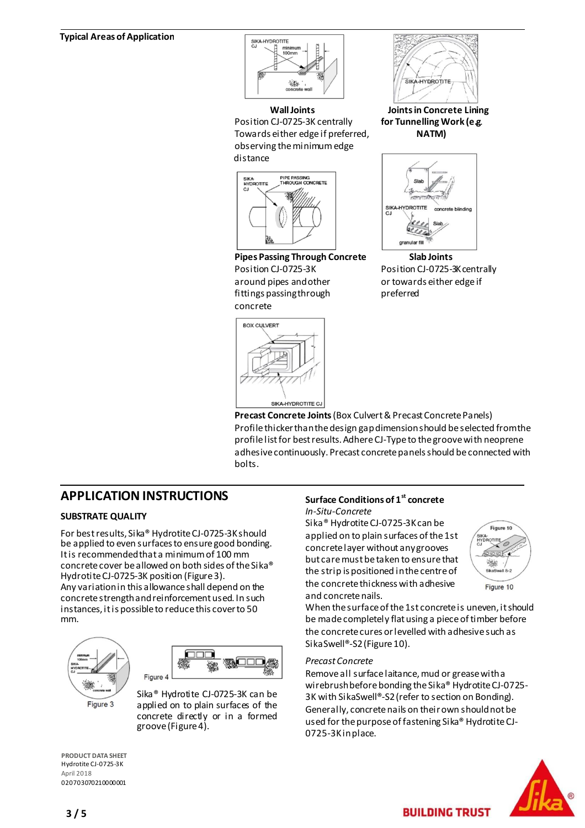### **Typical Areas of Application**



Position CJ-0725-3K centrally **for Tunnelling Work (e.g**. Towards either edge if preferred, **NATM)**  observing the minimumedge distance



**Pipes Passing Through Concrete Slab Joints** Position CJ-0725-3K Position CJ-0725-3K centrally around pipes and other or towards either edge if fittings passing through preferred concrete





**WallJoints Joints in Concrete Lining**



**Precast Concrete Joints** (Box Culvert & Precast Concrete Panels) Profile thicker than the design gap dimension should be selected from the profile list for best results. Adhere CJ-Typeto the groove with neoprene adhesive continuously. Precast concrete panels should be connected with bolts.

# **APPLICATION INSTRUCTIONS**

### **SUBSTRATE QUALITY**

For best results, Sika® Hydrotite CJ-0725-3K should be applied to even surfaces to ensure good bonding. It is recommended that a minimum of 100 mm concrete cover be allowed on both sides of the Sika® Hydrotite CJ-0725-3K position (Figure 3). Any variation in this allowance shall depend on the concrete strength and reinforcement used. In such instances, it is possible to reduce this cover to 50 mm.





Sika® Hydrotite CJ-0725-3K can be applied on to plain surfaces of the concrete directly or in a formed groove (Figure 4).

### **Surface Conditions of 1st concrete** *In-Situ-Concrete*

Sika<sup>®</sup> Hydrotite CJ-0725-3K can be applied on to plain surfaces of the 1st concrete layer without any grooves but care must be taken to ensure that the strip is positioned in the centre of the concrete thickness with adhesive and concrete nails.



When the surface of the 1st concrete is uneven, it should be made completely flat using a piece of timber before the concrete cures or levelled with adhesive such as SikaSwell®-S2 (Figure 10).

### *Precast Concrete*

Remove all surface laitance, mud or grease with a wirebrush before bonding the Sika® Hydrotite CJ-0725- 3K with SikaSwell®-S2(refer to section on Bonding). Generally, concrete nails on their own should not be used for the purpose of fastening Sika® Hydrotite CJ-0725-3Kin place.

**BUILDING TRUST** 



**PRODUCT DATA SHEET** Hydrotite CJ-0725-3K April 2018 020703070210000001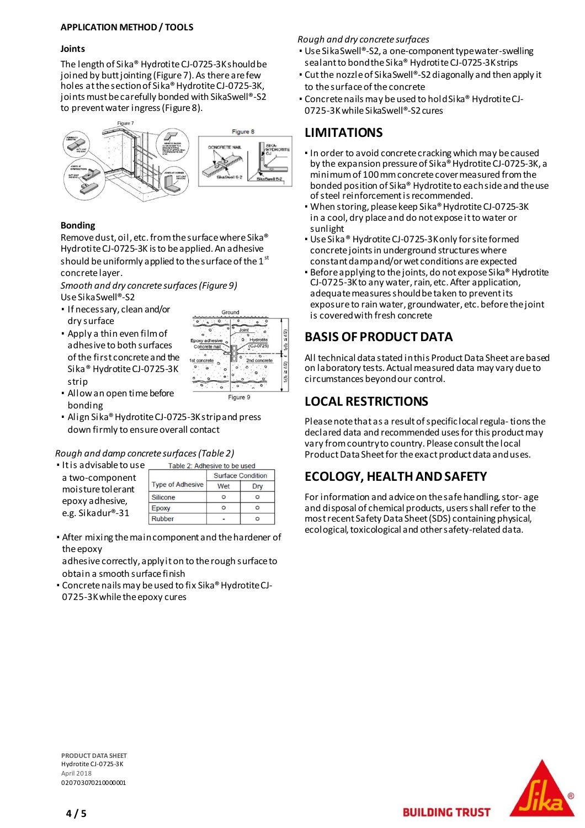### **APPLICATION METHOD / TOOLS**

### **Joints**

The length of Sika® Hydrotite CJ-0725-3Kshould be joined by butt jointing (Figure 7). As there are few holes at the section of Sika® Hydrotite CJ-0725-3K, joints must be carefully bonded with SikaSwell®-S2 to prevent water ingress (Figure 8).



### **Bonding**

Remove dust, oil, etc. from the surface where Sika® Hydrotite CJ-0725-3K is to be applied. An adhesive should be uniformly applied to the surface of the  $1<sup>st</sup>$ concrete layer.

*Smooth and dry concrete surfaces (Figure 9)* Use SikaSwell®-S2

- If necessary, clean and/or dry surface
- Apply a thin even film of adhesive to both surfaces of the first concrete and the Sika® Hydrotite CJ-0725-3K strip



- Allow an open time before bonding
- Align Sika® Hydrotite CJ-0725-3Kstrip and press down firmly to ensure overall contact

### *Rough and damp concrete surfaces (Table 2)*

▪ It is advisable to use a two-component moisture tolerant epoxy adhesive, e.g. Sikadur®-31

|                         | <b>Surface Condition</b> |     |  |
|-------------------------|--------------------------|-----|--|
| <b>Type of Adhesive</b> | Wet                      | Drv |  |
| Silicone                | O                        | n   |  |
| Epoxy                   | n                        | n   |  |
| Rubber                  |                          |     |  |

Table 2: Adhesive to be used

▪ After mixing the main component and the hardener of the epoxy

adhesive correctly, apply it on to the rough surface to obtain a smooth surface finish

▪ Concrete nails may be used to fix Sika® HydrotiteCJ-0725-3Kwhile the epoxy cures

### *Rough and dry concrete surfaces*

- Use SikaSwell®-S2, a one-component typewater-swelling sealant to bond the Sika® Hydrotite CJ-0725-3Kstrips
- Cut the nozzle of Sika Swell®-S2 diagonally and then apply it to the surface of the concrete
- Concrete nails may be used to hold Sika® HydrotiteCJ-0725-3Kwhile SikaSwell®-S2cures

# **LIMITATIONS**

- In order to avoid concrete cracking which may be caused by the expansion pressure of Sika<sup>®</sup> Hydrotite CJ-0725-3K, a minimum of 100 mm concrete cover measured from the bonded position of Sika® Hydrotite to each side and theuse of steel reinforcement is recommended.
- When storing, please keep Sika® Hydrotite CJ-0725-3K in a cool, dry place and do not expose it to water or sunlight
- Use Sika® Hydrotite CJ-0725-3Konly for site formed concrete joints in underground structures where constant damp and/or wet conditions are expected
- Before applying to the joints, do not expose Sika® Hydrotite CJ-0725-3Kto any water, rain, etc. After application, adequate measures should be taken to prevent its exposure to rain water, groundwater, etc. before the joint is covered with fresh concrete

# **BASIS OF PRODUCT DATA**

All technical data stated in this Product Data Sheet are based on laboratory tests. Actual measured data may vary due to circumstances beyond our control.

# **LOCAL RESTRICTIONS**

Please note that as a result of specific local regula-tions the declared data and recommended uses for this product may vary from country to country. Please consult the local Product Data Sheet for the exact product data and uses.

# **ECOLOGY, HEALTH AND SAFETY**

For information and advice on the safe handling, stor- age and disposal of chemical products, users shall refer to the most recent Safety Data Sheet (SDS) containing physical, ecological, toxicological and other safety-related data.

**BUILDING TRUST** 



**PRODUCT DATA SHEET** Hydrotite CJ-0725-3K April 2018 020703070210000001